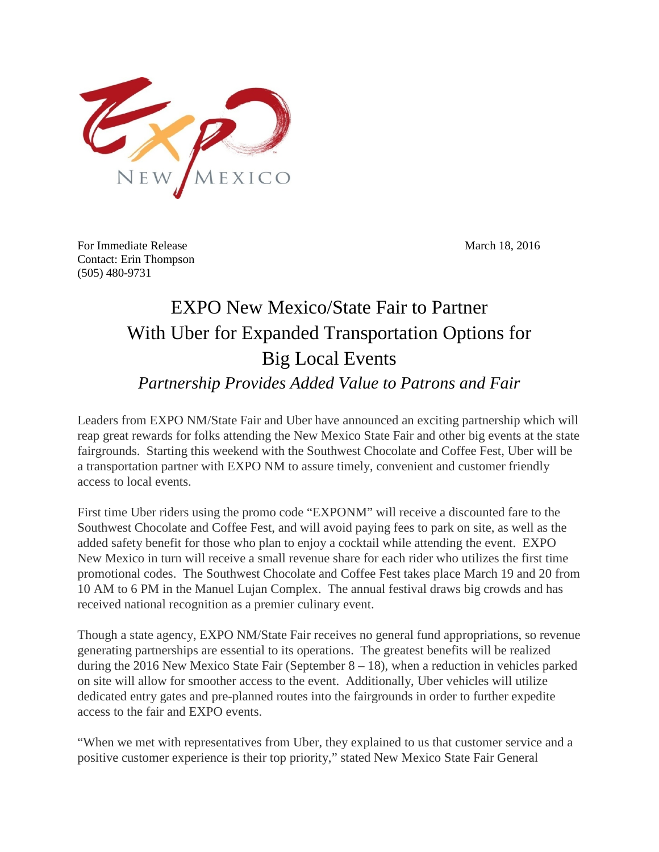

For Immediate Release March 18, 2016 Contact: Erin Thompson (505) 480-9731

## EXPO New Mexico/State Fair to Partner With Uber for Expanded Transportation Options for Big Local Events *Partnership Provides Added Value to Patrons and Fair*

Leaders from EXPO NM/State Fair and Uber have announced an exciting partnership which will reap great rewards for folks attending the New Mexico State Fair and other big events at the state fairgrounds. Starting this weekend with the Southwest Chocolate and Coffee Fest, Uber will be a transportation partner with EXPO NM to assure timely, convenient and customer friendly access to local events.

First time Uber riders using the promo code "EXPONM" will receive a discounted fare to the Southwest Chocolate and Coffee Fest, and will avoid paying fees to park on site, as well as the added safety benefit for those who plan to enjoy a cocktail while attending the event. EXPO New Mexico in turn will receive a small revenue share for each rider who utilizes the first time promotional codes. The Southwest Chocolate and Coffee Fest takes place March 19 and 20 from 10 AM to 6 PM in the Manuel Lujan Complex. The annual festival draws big crowds and has received national recognition as a premier culinary event.

Though a state agency, EXPO NM/State Fair receives no general fund appropriations, so revenue generating partnerships are essential to its operations. The greatest benefits will be realized during the 2016 New Mexico State Fair (September  $8 - 18$ ), when a reduction in vehicles parked on site will allow for smoother access to the event. Additionally, Uber vehicles will utilize dedicated entry gates and pre-planned routes into the fairgrounds in order to further expedite access to the fair and EXPO events.

"When we met with representatives from Uber, they explained to us that customer service and a positive customer experience is their top priority," stated New Mexico State Fair General